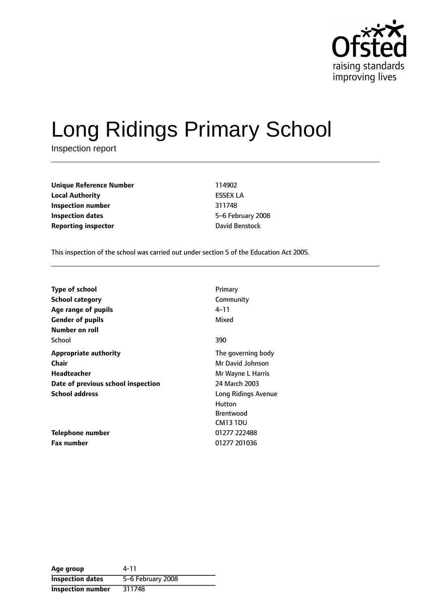

# Long Ridings Primary School

Inspection report

**Unique Reference Number** 114902 **Local Authority** ESSEX LA **Inspection number** 311748 **Inspection dates** 65-6 February 2008 **Reporting inspector David Benstock** 

This inspection of the school was carried out under section 5 of the Education Act 2005.

| <b>Type of school</b><br>School category<br>Age range of pupils | Primary<br>Community<br>4–11 |
|-----------------------------------------------------------------|------------------------------|
| <b>Gender of pupils</b>                                         | Mixed                        |
| Number on roll                                                  |                              |
| School                                                          | 390                          |
| <b>Appropriate authority</b>                                    | The governing body           |
| Chair                                                           | Mr David Johnson             |
| Headteacher                                                     | Mr Wayne L Harris            |
| Date of previous school inspection                              | 24 March 2003                |
| <b>School address</b>                                           | Long Ridings Avenue          |
|                                                                 | Hutton                       |
|                                                                 | <b>Brentwood</b>             |
|                                                                 | CM13 1DU                     |
| Telephone number                                                | 01277 222488                 |
| <b>Fax number</b>                                               | 01277 201036                 |

| Age group                | 4-11              |
|--------------------------|-------------------|
| <b>Inspection dates</b>  | 5-6 February 2008 |
| <b>Inspection number</b> | 311748            |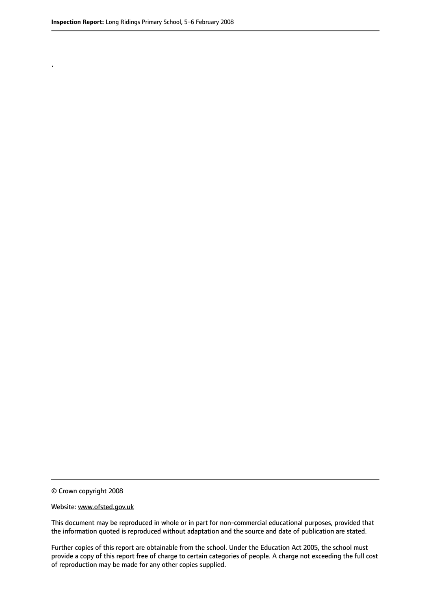.

© Crown copyright 2008

#### Website: www.ofsted.gov.uk

This document may be reproduced in whole or in part for non-commercial educational purposes, provided that the information quoted is reproduced without adaptation and the source and date of publication are stated.

Further copies of this report are obtainable from the school. Under the Education Act 2005, the school must provide a copy of this report free of charge to certain categories of people. A charge not exceeding the full cost of reproduction may be made for any other copies supplied.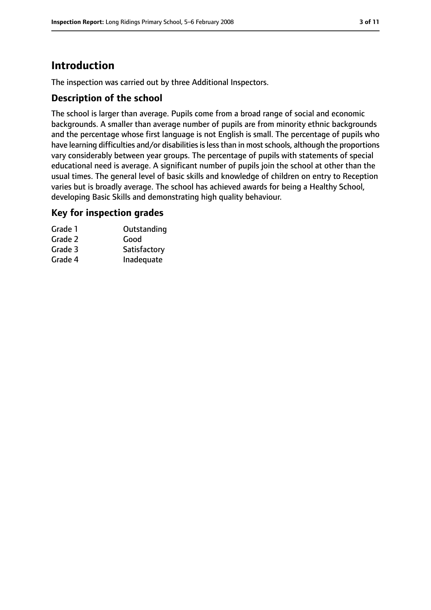# **Introduction**

The inspection was carried out by three Additional Inspectors.

### **Description of the school**

The school is larger than average. Pupils come from a broad range of social and economic backgrounds. A smaller than average number of pupils are from minority ethnic backgrounds and the percentage whose first language is not English is small. The percentage of pupils who have learning difficulties and/or disabilities is less than in most schools, although the proportions vary considerably between year groups. The percentage of pupils with statements of special educational need is average. A significant number of pupils join the school at other than the usual times. The general level of basic skills and knowledge of children on entry to Reception varies but is broadly average. The school has achieved awards for being a Healthy School, developing Basic Skills and demonstrating high quality behaviour.

#### **Key for inspection grades**

| Grade 1 | Outstanding  |
|---------|--------------|
| Grade 2 | Good         |
| Grade 3 | Satisfactory |
| Grade 4 | Inadequate   |
|         |              |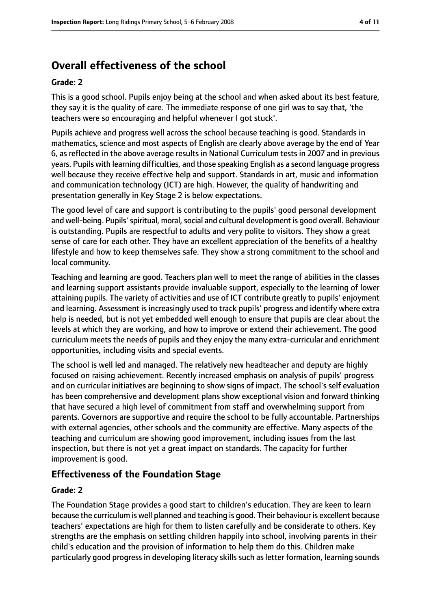# **Overall effectiveness of the school**

#### **Grade: 2**

This is a good school. Pupils enjoy being at the school and when asked about its best feature, they say it is the quality of care. The immediate response of one girl was to say that, 'the teachers were so encouraging and helpful whenever I got stuck'.

Pupils achieve and progress well across the school because teaching is good. Standards in mathematics, science and most aspects of English are clearly above average by the end of Year 6, as reflected in the above average results in National Curriculum tests in 2007 and in previous years. Pupils with learning difficulties, and those speaking English as a second language progress well because they receive effective help and support. Standards in art, music and information and communication technology (ICT) are high. However, the quality of handwriting and presentation generally in Key Stage 2 is below expectations.

The good level of care and support is contributing to the pupils' good personal development and well-being. Pupils' spiritual, moral, social and cultural development is good overall. Behaviour is outstanding. Pupils are respectful to adults and very polite to visitors. They show a great sense of care for each other. They have an excellent appreciation of the benefits of a healthy lifestyle and how to keep themselves safe. They show a strong commitment to the school and local community.

Teaching and learning are good. Teachers plan well to meet the range of abilities in the classes and learning support assistants provide invaluable support, especially to the learning of lower attaining pupils. The variety of activities and use of ICT contribute greatly to pupils' enjoyment and learning. Assessment is increasingly used to track pupils' progress and identify where extra help is needed, but is not yet embedded well enough to ensure that pupils are clear about the levels at which they are working, and how to improve or extend their achievement. The good curriculum meets the needs of pupils and they enjoy the many extra-curricular and enrichment opportunities, including visits and special events.

The school is well led and managed. The relatively new headteacher and deputy are highly focused on raising achievement. Recently increased emphasis on analysis of pupils' progress and on curricular initiatives are beginning to show signs of impact. The school's self evaluation has been comprehensive and development plans show exceptional vision and forward thinking that have secured a high level of commitment from staff and overwhelming support from parents. Governors are supportive and require the school to be fully accountable. Partnerships with external agencies, other schools and the community are effective. Many aspects of the teaching and curriculum are showing good improvement, including issues from the last inspection, but there is not yet a great impact on standards. The capacity for further improvement is good.

# **Effectiveness of the Foundation Stage**

#### **Grade: 2**

The Foundation Stage provides a good start to children's education. They are keen to learn because the curriculum is well planned and teaching is good. Their behaviour is excellent because teachers' expectations are high for them to listen carefully and be considerate to others. Key strengths are the emphasis on settling children happily into school, involving parents in their child's education and the provision of information to help them do this. Children make particularly good progress in developing literacy skills such as letter formation, learning sounds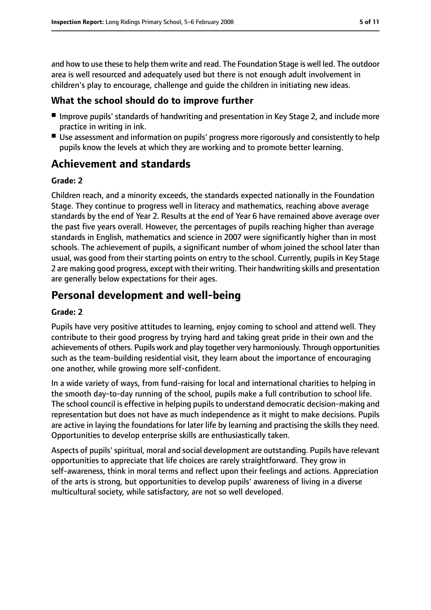and how to use these to help them write and read. The Foundation Stage is well led. The outdoor area is well resourced and adequately used but there is not enough adult involvement in children's play to encourage, challenge and guide the children in initiating new ideas.

# **What the school should do to improve further**

- Improve pupils' standards of handwriting and presentation in Key Stage 2, and include more practice in writing in ink.
- Use assessment and information on pupils' progress more rigorously and consistently to help pupils know the levels at which they are working and to promote better learning.

# **Achievement and standards**

#### **Grade: 2**

Children reach, and a minority exceeds, the standards expected nationally in the Foundation Stage. They continue to progress well in literacy and mathematics, reaching above average standards by the end of Year 2. Results at the end of Year 6 have remained above average over the past five years overall. However, the percentages of pupils reaching higher than average standards in English, mathematics and science in 2007 were significantly higher than in most schools. The achievement of pupils, a significant number of whom joined the school later than usual, was good from their starting points on entry to the school. Currently, pupils in Key Stage 2 are making good progress, except with their writing. Their handwriting skills and presentation are generally below expectations for their ages.

# **Personal development and well-being**

#### **Grade: 2**

Pupils have very positive attitudes to learning, enjoy coming to school and attend well. They contribute to their good progress by trying hard and taking great pride in their own and the achievements of others. Pupils work and play together very harmoniously. Through opportunities such as the team-building residential visit, they learn about the importance of encouraging one another, while growing more self-confident.

In a wide variety of ways, from fund-raising for local and international charities to helping in the smooth day-to-day running of the school, pupils make a full contribution to school life. The school council is effective in helping pupils to understand democratic decision-making and representation but does not have as much independence as it might to make decisions. Pupils are active in laying the foundations for later life by learning and practising the skills they need. Opportunities to develop enterprise skills are enthusiastically taken.

Aspects of pupils'spiritual, moral and social development are outstanding. Pupils have relevant opportunities to appreciate that life choices are rarely straightforward. They grow in self-awareness, think in moral terms and reflect upon their feelings and actions. Appreciation of the arts is strong, but opportunities to develop pupils' awareness of living in a diverse multicultural society, while satisfactory, are not so well developed.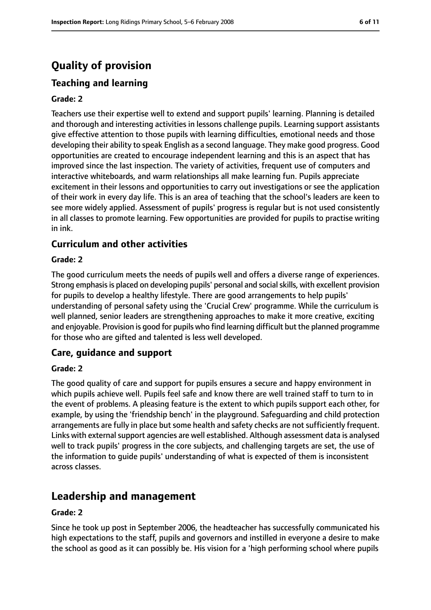# **Quality of provision**

# **Teaching and learning**

#### **Grade: 2**

Teachers use their expertise well to extend and support pupils' learning. Planning is detailed and thorough and interesting activities in lessons challenge pupils. Learning support assistants give effective attention to those pupils with learning difficulties, emotional needs and those developing their ability to speak English as a second language. They make good progress. Good opportunities are created to encourage independent learning and this is an aspect that has improved since the last inspection. The variety of activities, frequent use of computers and interactive whiteboards, and warm relationships all make learning fun. Pupils appreciate excitement in their lessons and opportunities to carry out investigations or see the application of their work in every day life. This is an area of teaching that the school's leaders are keen to see more widely applied. Assessment of pupils' progress is regular but is not used consistently in all classes to promote learning. Few opportunities are provided for pupils to practise writing in ink.

#### **Curriculum and other activities**

#### **Grade: 2**

The good curriculum meets the needs of pupils well and offers a diverse range of experiences. Strong emphasis is placed on developing pupils' personal and social skills, with excellent provision for pupils to develop a healthy lifestyle. There are good arrangements to help pupils' understanding of personal safety using the 'Crucial Crew' programme. While the curriculum is well planned, senior leaders are strengthening approaches to make it more creative, exciting and enjoyable. Provision is good for pupils who find learning difficult but the planned programme for those who are gifted and talented is less well developed.

#### **Care, guidance and support**

#### **Grade: 2**

The good quality of care and support for pupils ensures a secure and happy environment in which pupils achieve well. Pupils feel safe and know there are well trained staff to turn to in the event of problems. A pleasing feature is the extent to which pupils support each other, for example, by using the 'friendship bench' in the playground. Safeguarding and child protection arrangements are fully in place but some health and safety checks are not sufficiently frequent. Links with external support agencies are well established. Although assessment data is analysed well to track pupils' progress in the core subjects, and challenging targets are set, the use of the information to guide pupils' understanding of what is expected of them is inconsistent across classes.

# **Leadership and management**

#### **Grade: 2**

Since he took up post in September 2006, the headteacher has successfully communicated his high expectations to the staff, pupils and governors and instilled in everyone a desire to make the school as good as it can possibly be. His vision for a 'high performing school where pupils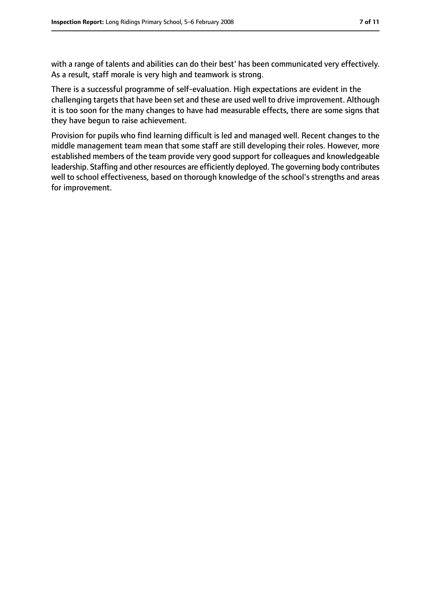with a range of talents and abilities can do their best' has been communicated very effectively. As a result, staff morale is very high and teamwork is strong.

There is a successful programme of self-evaluation. High expectations are evident in the challenging targets that have been set and these are used well to drive improvement. Although it is too soon for the many changes to have had measurable effects, there are some signs that they have begun to raise achievement.

Provision for pupils who find learning difficult is led and managed well. Recent changes to the middle management team mean that some staff are still developing their roles. However, more established members of the team provide very good support for colleagues and knowledgeable leadership. Staffing and other resources are efficiently deployed. The governing body contributes well to school effectiveness, based on thorough knowledge of the school's strengths and areas for improvement.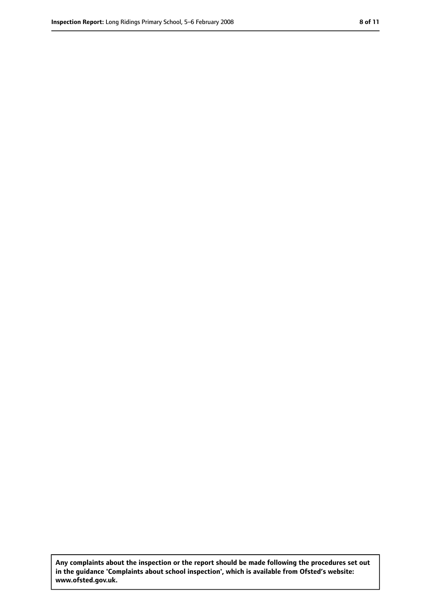**Any complaints about the inspection or the report should be made following the procedures set out in the guidance 'Complaints about school inspection', which is available from Ofsted's website: www.ofsted.gov.uk.**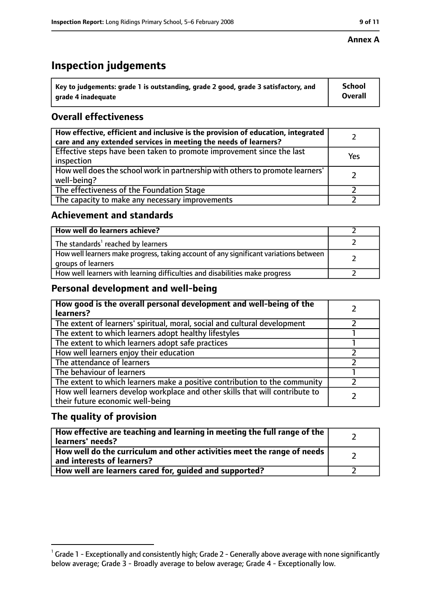# **Inspection judgements**

| $^{\backprime}$ Key to judgements: grade 1 is outstanding, grade 2 good, grade 3 satisfactory, and | <b>School</b>  |
|----------------------------------------------------------------------------------------------------|----------------|
| arade 4 inadequate                                                                                 | <b>Overall</b> |

# **Overall effectiveness**

| How effective, efficient and inclusive is the provision of education, integrated<br>care and any extended services in meeting the needs of learners? |     |
|------------------------------------------------------------------------------------------------------------------------------------------------------|-----|
| Effective steps have been taken to promote improvement since the last<br>inspection                                                                  | Yes |
| How well does the school work in partnership with others to promote learners'<br>well-being?                                                         |     |
| The effectiveness of the Foundation Stage                                                                                                            |     |
| The capacity to make any necessary improvements                                                                                                      |     |

## **Achievement and standards**

| How well do learners achieve?                                                                               |  |
|-------------------------------------------------------------------------------------------------------------|--|
| The standards <sup>1</sup> reached by learners                                                              |  |
| How well learners make progress, taking account of any significant variations between<br>groups of learners |  |
| How well learners with learning difficulties and disabilities make progress                                 |  |

# **Personal development and well-being**

| How good is the overall personal development and well-being of the<br>learners?                                  |  |
|------------------------------------------------------------------------------------------------------------------|--|
| The extent of learners' spiritual, moral, social and cultural development                                        |  |
| The extent to which learners adopt healthy lifestyles                                                            |  |
| The extent to which learners adopt safe practices                                                                |  |
| How well learners enjoy their education                                                                          |  |
| The attendance of learners                                                                                       |  |
| The behaviour of learners                                                                                        |  |
| The extent to which learners make a positive contribution to the community                                       |  |
| How well learners develop workplace and other skills that will contribute to<br>their future economic well-being |  |

# **The quality of provision**

| How effective are teaching and learning in meeting the full range of the<br>learners' needs?          |  |
|-------------------------------------------------------------------------------------------------------|--|
| How well do the curriculum and other activities meet the range of needs<br>and interests of learners? |  |
| How well are learners cared for, quided and supported?                                                |  |

 $^1$  Grade 1 - Exceptionally and consistently high; Grade 2 - Generally above average with none significantly below average; Grade 3 - Broadly average to below average; Grade 4 - Exceptionally low.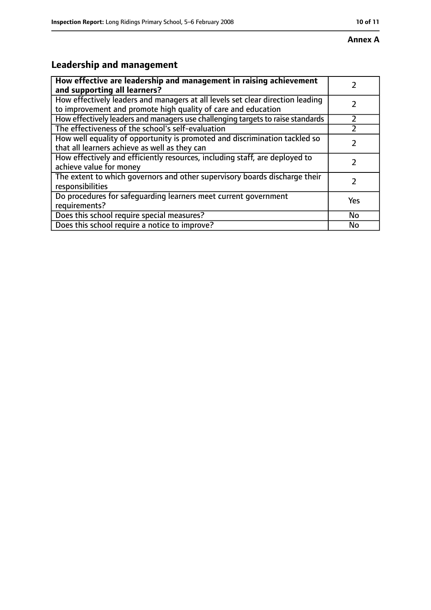# **Leadership and management**

| How effective are leadership and management in raising achievement<br>and supporting all learners?                                              |           |
|-------------------------------------------------------------------------------------------------------------------------------------------------|-----------|
| How effectively leaders and managers at all levels set clear direction leading<br>to improvement and promote high quality of care and education |           |
| How effectively leaders and managers use challenging targets to raise standards                                                                 |           |
| The effectiveness of the school's self-evaluation                                                                                               |           |
| How well equality of opportunity is promoted and discrimination tackled so<br>that all learners achieve as well as they can                     |           |
| How effectively and efficiently resources, including staff, are deployed to<br>achieve value for money                                          |           |
| The extent to which governors and other supervisory boards discharge their<br>responsibilities                                                  |           |
| Do procedures for safequarding learners meet current government<br>requirements?                                                                | Yes       |
| Does this school require special measures?                                                                                                      | <b>No</b> |
| Does this school require a notice to improve?                                                                                                   | No        |